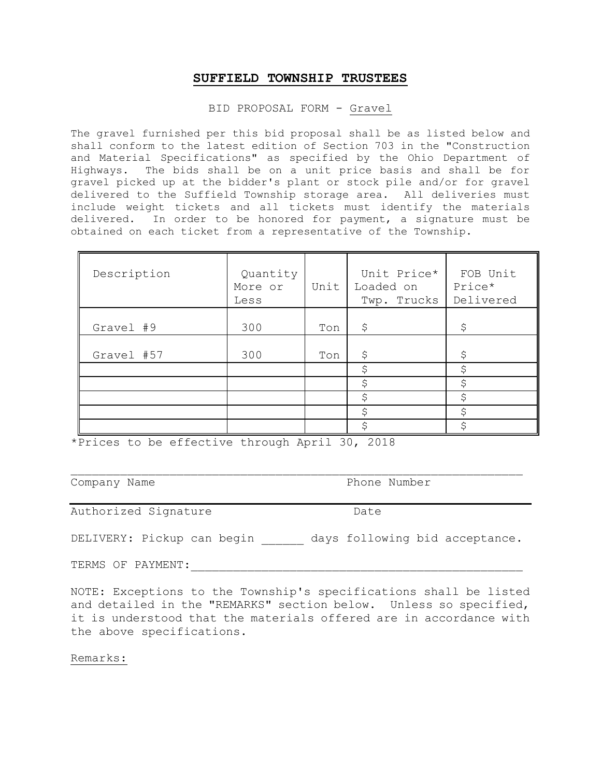#### BID PROPOSAL FORM - Gravel

The gravel furnished per this bid proposal shall be as listed below and shall conform to the latest edition of Section 703 in the "Construction and Material Specifications" as specified by the Ohio Department of Highways. The bids shall be on a unit price basis and shall be for gravel picked up at the bidder's plant or stock pile and/or for gravel delivered to the Suffield Township storage area. All deliveries must include weight tickets and all tickets must identify the materials delivered. In order to be honored for payment, a signature must be obtained on each ticket from a representative of the Township.

| Description | Quantity<br>More or<br>Less | Unit | Unit Price*<br>Loaded on<br>Twp. Trucks | FOB Unit<br>Price*<br>Delivered |
|-------------|-----------------------------|------|-----------------------------------------|---------------------------------|
| Gravel #9   | 300                         | Ton  | \$                                      | \$                              |
| Gravel #57  | 300                         | Ton  | \$                                      | \$                              |
|             |                             |      | \$                                      | \$                              |
|             |                             |      | \$                                      | \$                              |
|             |                             |      | \$                                      | \$                              |
|             |                             |      | \$                                      | \$                              |
|             |                             |      | \$                                      | \$                              |

\*Prices to be effective through April 30, 2018

Company Name **Phone Number** 

Authorized Signature Date

DELIVERY: Pickup can begin days following bid acceptance.

TERMS OF PAYMENT:

NOTE: Exceptions to the Township's specifications shall be listed and detailed in the "REMARKS" section below. Unless so specified, it is understood that the materials offered are in accordance with the above specifications.

Remarks: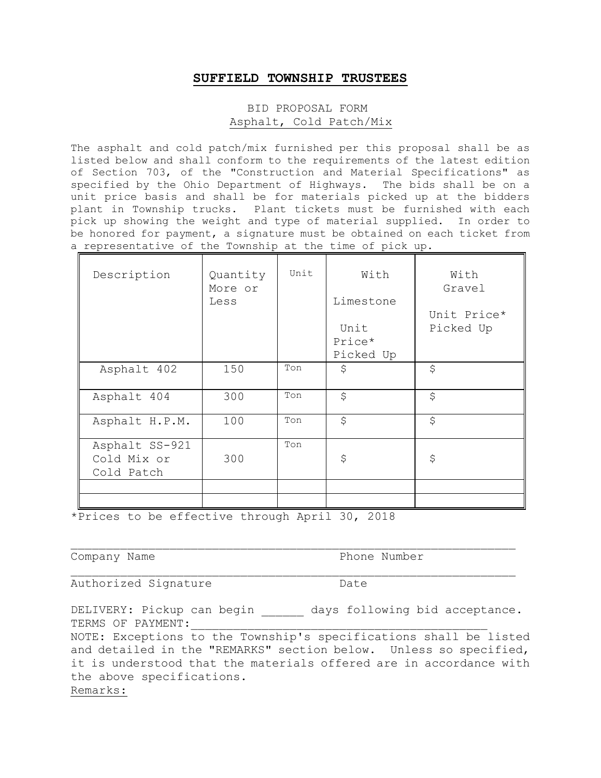## BID PROPOSAL FORM Asphalt, Cold Patch/Mix

The asphalt and cold patch/mix furnished per this proposal shall be as listed below and shall conform to the requirements of the latest edition of Section 703, of the "Construction and Material Specifications" as specified by the Ohio Department of Highways. The bids shall be on a unit price basis and shall be for materials picked up at the bidders plant in Township trucks. Plant tickets must be furnished with each pick up showing the weight and type of material supplied. In order to be honored for payment, a signature must be obtained on each ticket from a representative of the Township at the time of pick up.

| Description                                 | Quantity<br>More or<br>Less | Unit | With<br>Limestone<br>Unit<br>Price*<br>Picked Up | With<br>Gravel<br>Unit Price*<br>Picked Up |
|---------------------------------------------|-----------------------------|------|--------------------------------------------------|--------------------------------------------|
| Asphalt 402                                 | 150                         | Ton  | \$                                               | \$                                         |
| Asphalt 404                                 | 300                         | Ton  | \$                                               | \$                                         |
| Asphalt H.P.M.                              | 100                         | Ton  | \$                                               | \$                                         |
| Asphalt SS-921<br>Cold Mix or<br>Cold Patch | 300                         | Ton  | \$                                               | \$                                         |
|                                             |                             |      |                                                  |                                            |

\*Prices to be effective through April 30, 2018

Company Name **Phone Number** 

Authorized Signature Date

DELIVERY: Pickup can begin days following bid acceptance. TERMS OF PAYMENT:

NOTE: Exceptions to the Township's specifications shall be listed and detailed in the "REMARKS" section below. Unless so specified, it is understood that the materials offered are in accordance with the above specifications. Remarks: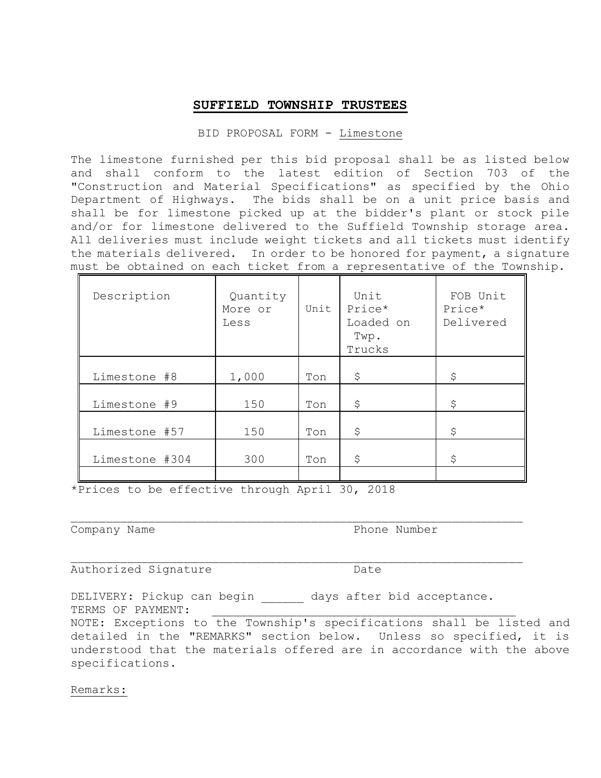#### BID PROPOSAL FORM - Limestone

The limestone furnished per this bid proposal shall be as listed below and shall conform to the latest edition of Section 703 of the "Construction and Material Specifications" as specified by the Ohio Department of Highways. The bids shall be on a unit price basis and shall be for limestone picked up at the bidder's plant or stock pile and/or for limestone delivered to the Suffield Township storage area. All deliveries must include weight tickets and all tickets must identify the materials delivered. In order to be honored for payment, a signature must be obtained on each ticket from a representative of the Township.

| Description    | Quantity<br>More or<br>Less | Unit | Unit<br>Price*<br>Loaded on<br>Twp.<br>Trucks | FOB Unit<br>Price*<br>Delivered |
|----------------|-----------------------------|------|-----------------------------------------------|---------------------------------|
| Limestone #8   | 1,000                       | Ton  | \$                                            | \$                              |
| Limestone #9   | 150                         | Ton  | \$                                            | \$                              |
| Limestone #57  | 150                         | Ton  | \$                                            | \$                              |
| Limestone #304 | 300                         | Ton  | \$                                            | \$                              |
|                |                             |      |                                               |                                 |

\*Prices to be effective through April 30, 2018

Company Name **Phone Number** 

Authorized Signature Date

DELIVERY: Pickup can begin bays after bid acceptance. TERMS OF PAYMENT:

NOTE: Exceptions to the Township's specifications shall be listed and detailed in the "REMARKS" section below. Unless so specified, it is understood that the materials offered are in accordance with the above specifications.

Remarks: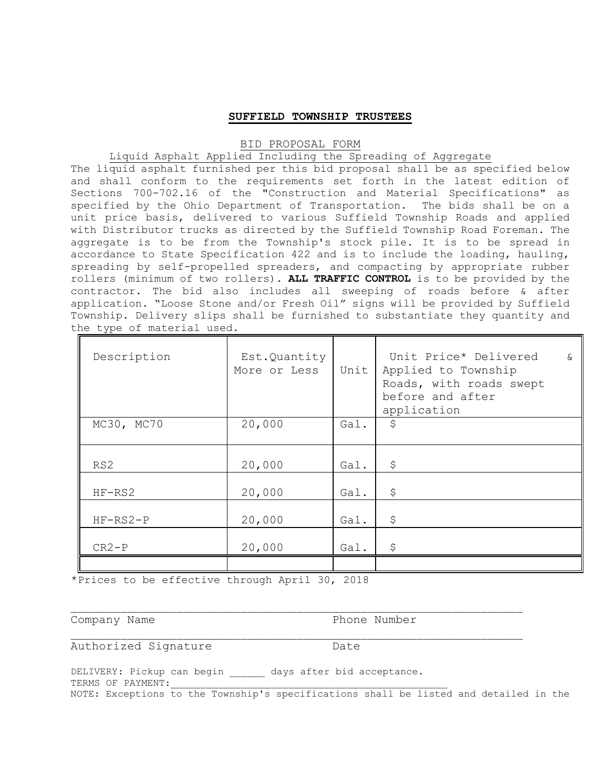#### BID PROPOSAL FORM

## Liquid Asphalt Applied Including the Spreading of Aggregate

The liquid asphalt furnished per this bid proposal shall be as specified below and shall conform to the requirements set forth in the latest edition of Sections 700-702.16 of the "Construction and Material Specifications" as specified by the Ohio Department of Transportation. The bids shall be on a unit price basis, delivered to various Suffield Township Roads and applied with Distributor trucks as directed by the Suffield Township Road Foreman. The aggregate is to be from the Township's stock pile. It is to be spread in accordance to State Specification 422 and is to include the loading, hauling, spreading by self-propelled spreaders, and compacting by appropriate rubber rollers (minimum of two rollers). **ALL TRAFFIC CONTROL** is to be provided by the contractor. The bid also includes all sweeping of roads before & after application. "Loose Stone and/or Fresh Oil" signs will be provided by Suffield Township. Delivery slips shall be furnished to substantiate they quantity and the type of material used.

| Description | Est.Quantity<br>More or Less | Unit | Unit Price* Delivered<br>$\delta$<br>Applied to Township<br>Roads, with roads swept<br>before and after<br>application |
|-------------|------------------------------|------|------------------------------------------------------------------------------------------------------------------------|
| MC30, MC70  | 20,000                       | Gal. | \$                                                                                                                     |
| RS2         | 20,000                       | Gal. | \$                                                                                                                     |
| $HF-RS2$    | 20,000                       | Gal. | \$                                                                                                                     |
| $HF-RS2-P$  | 20,000                       | Gal. | \$                                                                                                                     |
| $CR2-P$     | 20,000                       | Gal. | \$                                                                                                                     |
|             |                              |      |                                                                                                                        |

\*Prices to be effective through April 30, 2018

Company Name **Phone Number** Phone Number

Authorized Signature Date

DELIVERY: Pickup can begin \_\_\_\_\_\_ days after bid acceptance. TERMS OF PAYMENT: NOTE: Exceptions to the Township's specifications shall be listed and detailed in the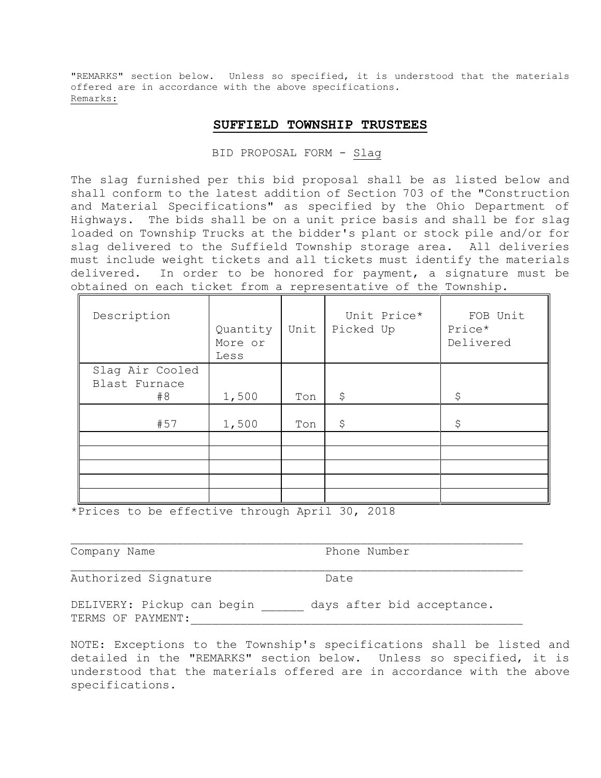"REMARKS" section below. Unless so specified, it is understood that the materials offered are in accordance with the above specifications. Remarks:

#### **SUFFIELD TOWNSHIP TRUSTEES**

BID PROPOSAL FORM - Slag

The slag furnished per this bid proposal shall be as listed below and shall conform to the latest addition of Section 703 of the "Construction and Material Specifications" as specified by the Ohio Department of Highways. The bids shall be on a unit price basis and shall be for slag loaded on Township Trucks at the bidder's plant or stock pile and/or for slag delivered to the Suffield Township storage area. All deliveries must include weight tickets and all tickets must identify the materials delivered. In order to be honored for payment, a signature must be obtained on each ticket from a representative of the Township.

| Description     | Quantity<br>More or<br>Less | Unit | Unit Price*<br>Picked Up | FOB Unit<br>Price*<br>Delivered |
|-----------------|-----------------------------|------|--------------------------|---------------------------------|
| Slag Air Cooled |                             |      |                          |                                 |
| Blast Furnace   |                             |      |                          |                                 |
| #8              | 1,500                       | Ton  | \$                       | \$                              |
|                 |                             |      |                          |                                 |
| #57             | 1,500                       | Ton  | \$                       | \$                              |
|                 |                             |      |                          |                                 |
|                 |                             |      |                          |                                 |
|                 |                             |      |                          |                                 |
|                 |                             |      |                          |                                 |
|                 |                             |      |                          |                                 |

\*Prices to be effective through April 30, 2018

Company Name **Phone Number** 

Authorized Signature Date

DELIVERY: Pickup can begin days after bid acceptance. TERMS OF PAYMENT:

NOTE: Exceptions to the Township's specifications shall be listed and detailed in the "REMARKS" section below. Unless so specified, it is understood that the materials offered are in accordance with the above specifications.